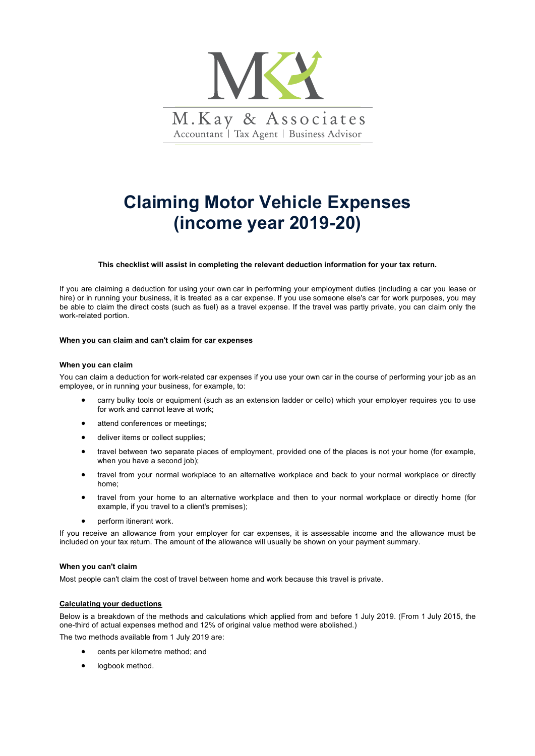

# **Claiming Motor Vehicle Expenses (income year 2019-20)**

# **This checklist will assist in completing the relevant deduction information for your tax return.**

If you are claiming a deduction for using your own car in performing your employment duties (including a car you lease or hire) or in running your business, it is treated as a car expense. If you use someone else's car for work purposes, you may be able to claim the direct costs (such as fuel) as a travel expense. If the travel was partly private, you can claim only the work-related portion.

### **When you can claim and can't claim for car expenses**

#### **When you can claim**

You can claim a deduction for work-related car expenses if you use your own car in the course of performing your job as an employee, or in running your business, for example, to:

- carry bulky tools or equipment (such as an extension ladder or cello) which your employer requires you to use for work and cannot leave at work;
- attend conferences or meetings;
- deliver items or collect supplies;
- travel between two separate places of employment, provided one of the places is not your home (for example, when you have a second job);
- travel from your normal workplace to an alternative workplace and back to your normal workplace or directly home;
- travel from your home to an alternative workplace and then to your normal workplace or directly home (for example, if you travel to a client's premises);
- perform itinerant work.

If you receive an allowance from your employer for car expenses, it is assessable income and the allowance must be included on your tax return. The amount of the allowance will usually be shown on your payment summary.

## **When you can't claim**

Most people can't claim the cost of travel between home and work because this travel is private.

# **Calculating your deductions**

Below is a breakdown of the methods and calculations which applied from and before 1 July 2019. (From 1 July 2015, the one-third of actual expenses method and 12% of original value method were abolished.)

The two methods available from 1 July 2019 are:

- cents per kilometre method; and
- logbook method.